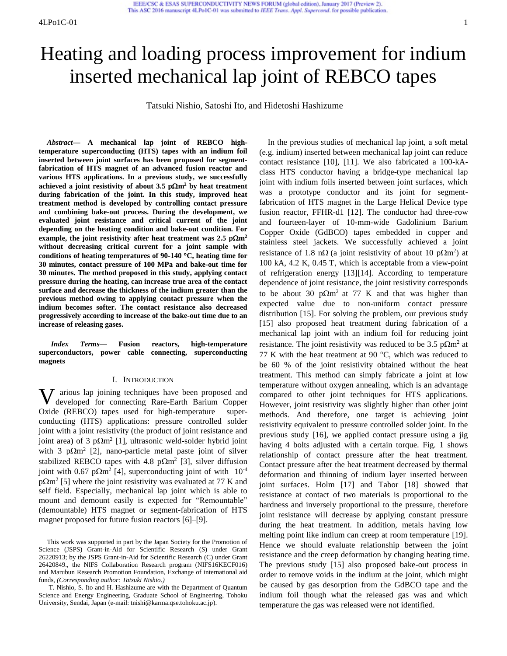# Heating and loading process improvement for indium inserted mechanical lap joint of REBCO tapes

IEEE/CSC & ESAS SUPERCONDUCTIVITY NEWS FORUM (global edition), January 2017 (Preview 2). This ASC 2016 manuscript 4LPo1C-01 was submitted to IEEE Trans. Appl. Supercond. for possible publication.

Tatsuki Nishio, Satoshi Ito, and Hidetoshi Hashizume

*Abstract***— A mechanical lap joint of REBCO hightemperature superconducting (HTS) tapes with an indium foil inserted between joint surfaces has been proposed for segmentfabrication of HTS magnet of an advanced fusion reactor and various HTS applications. In a previous study, we successfully**  achieved a joint resistivity of about  $3.5 \text{ p}\Omega\text{m}^2$  by heat treatment **during fabrication of the joint. In this study, improved heat treatment method is developed by controlling contact pressure and combining bake-out process. During the development, we evaluated joint resistance and critical current of the joint depending on the heating condition and bake-out condition. For**  example, the joint resistivity after heat treatment was  $2.5 \text{ p}\Omega\text{m}^2$ **without decreasing critical current for a joint sample with conditions of heating temperatures of 90-140 C, heating time for 30 minutes, contact pressure of 100 MPa and bake-out time for 30 minutes. The method proposed in this study, applying contact pressure during the heating, can increase true area of the contact surface and decrease the thickness of the indium greater than the previous method owing to applying contact pressure when the indium becomes softer. The contact resistance also decreased progressively according to increase of the bake-out time due to an increase of releasing gases.** 

*Index Terms***— Fusion reactors, high-temperature superconductors, power cable connecting, superconducting magnets** 

#### I. INTRODUCTION

 $\bf{V}$  arious lap joining techniques have been proposed and developed for connecting Rare-Earth Barium Copper developed for connecting Rare-Earth Barium Copper Oxide (REBCO) tapes used for high-temperature superconducting (HTS) applications: pressure controlled solder joint with a joint resistivity (the product of joint resistance and joint area) of 3  $p\Omega m^2$  [\[1\]](#page-3-0), ultrasonic weld-solder hybrid joint with 3  $p\Omega m^2$  [\[2\]](#page-3-1), nano-particle metal paste joint of silver stabilized REBCO tapes with 4.8  $p\Omega m^2$  [\[3\]](#page-4-0), silver diffusion joint with 0.67 p $\Omega$ m<sup>2</sup> [\[4\]](#page-4-1), superconducting joint of with 10<sup>-4</sup>  $p\Omega$ m<sup>2</sup> [\[5\]](#page-4-2) where the joint resistivity was evaluated at 77 K and self field. Especially, mechanical lap joint which is able to mount and demount easily is expected for "Remountable" (demountable) HTS magnet or segment-fabrication of HTS magnet proposed for future fusion reactors [\[6\]](#page-4-3)[–\[9\]](#page-4-4).

In the previous studies of mechanical lap joint, a soft metal (e.g. indium) inserted between mechanical lap joint can reduce contact resistance [\[10\]](#page-4-5), [\[11\]](#page-4-6). We also fabricated a 100-kAclass HTS conductor having a bridge-type mechanical lap joint with indium foils inserted between joint surfaces, which was a prototype conductor and its joint for segmentfabrication of HTS magnet in the Large Helical Device type fusion reactor, FFHR-d1 [\[12\]](#page-4-7). The conductor had three-row and fourteen-layer of 10-mm-wide Gadolinium Barium Copper Oxide (GdBCO) tapes embedded in copper and stainless steel jackets. We successfully achieved a joint resistance of 1.8 n $\Omega$  (a joint resistivity of about 10 p $\Omega$ m<sup>2</sup>) at 100 kA, 4.2 K, 0.45 T, which is acceptable from a view-point of refrigeration energy [\[13\]](#page-4-8)[\[14\]](#page-4-9). According to temperature dependence of joint resistance, the joint resistivity corresponds to be about 30  $p\Omega m^2$  at 77 K and that was higher than expected value due to non-uniform contact pressure distribution [\[15\]](#page-4-10). For solving the problem, our previous study [15] also proposed heat treatment during fabrication of a mechanical lap joint with an indium foil for reducing joint resistance. The joint resistivity was reduced to be 3.5  $p\Omega m^2$  at 77 K with the heat treatment at 90  $^{\circ}$ C, which was reduced to be 60 % of the joint resistivity obtained without the heat treatment. This method can simply fabricate a joint at low temperature without oxygen annealing, which is an advantage compared to other joint techniques for HTS applications. However, joint resistivity was slightly higher than other joint methods. And therefore, one target is achieving joint resistivity equivalent to pressure controlled solder joint. In the previous study [\[16\]](#page-4-11), we applied contact pressure using a jig having 4 bolts adjusted with a certain torque. [Fig. 1](#page-1-0) shows relationship of contact pressure after the heat treatment. Contact pressure after the heat treatment decreased by thermal deformation and thinning of indium layer inserted between joint surfaces. Holm [\[17\]](#page-4-12) and Tabor [\[18\]](#page-4-13) showed that resistance at contact of two materials is proportional to the hardness and inversely proportional to the pressure, therefore joint resistance will decrease by applying constant pressure during the heat treatment. In addition, metals having low melting point like indium can creep at room temperature [\[19\]](#page-4-14). Hence we should evaluate relationship between the joint resistance and the creep deformation by changing heating time. The previous study [15] also proposed bake-out process in order to remove voids in the indium at the joint, which might be caused by gas desorption from the GdBCO tape and the indium foil though what the released gas was and which temperature the gas was released were not identified.

This work was supported in part by the Japan Society for the Promotion of Science (JSPS) Grant-in-Aid for Scientific Research (S) under Grant 26220913; by the JSPS Grant-in-Aid for Scientific Research (C) under Grant 26420849., the NIFS Collaboration Research program (NIFS16KECF016) and Marubun Research Promotion Foundation, Exchange of international aid funds, *(Corresponding author: Tatsuki Nishio.)*

T. Nishio, S. Ito and H. Hashizume are with the Department of Quantum Science and Energy Engineering, Graduate School of Engineering, Tohoku University, Sendai, Japan (e-mail: tnishi@karma.qse.tohoku.ac.jp).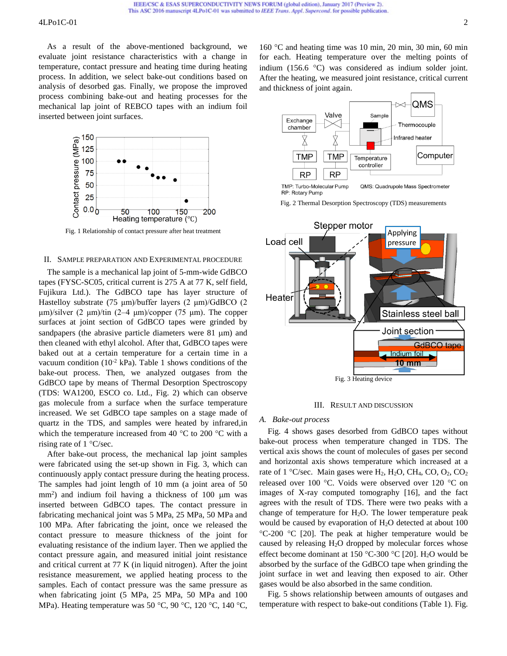## 4LPo1C-01 2

As a result of the above-mentioned background, we evaluate joint resistance characteristics with a change in temperature, contact pressure and heating time during heating process. In addition, we select bake-out conditions based on analysis of desorbed gas. Finally, we propose the improved process combining bake-out and heating processes for the mechanical lap joint of REBCO tapes with an indium foil inserted between joint surfaces.



<span id="page-1-0"></span>Fig. 1 Relationship of contact pressure after heat treatment

## II. SAMPLE PREPARATION AND EXPERIMENTAL PROCEDURE

The sample is a mechanical lap joint of 5-mm-wide GdBCO tapes (FYSC-SC05, critical current is 275 A at 77 K, self field, Fujikura Ltd.). The GdBCO tape has layer structure of Hastelloy substrate (75 μm)/buffer layers (2 μm)/GdBCO (2  $\mu$ m)/silver (2  $\mu$ m)/tin (2–4  $\mu$ m)/copper (75  $\mu$ m). The copper surfaces at joint section of GdBCO tapes were grinded by sandpapers (the abrasive particle diameters were  $81 \mu m$ ) and then cleaned with ethyl alcohol. After that, GdBCO tapes were baked out at a certain temperature for a certain time in a vacuum condition ( $10^{-2}$  kPa). Table 1 shows conditions of the bake-out process. Then, we analyzed outgases from the GdBCO tape by means of Thermal Desorption Spectroscopy (TDS: WA1200, ESCO co. Ltd., [Fig. 2\)](#page-1-1) which can observe gas molecule from a surface when the surface temperature increased. We set GdBCO tape samples on a stage made of quartz in the TDS, and samples were heated by infrared,in which the temperature increased from 40  $^{\circ}$ C to 200  $^{\circ}$ C with a rising rate of  $1 \text{ }^{\circ}C/\text{sec}$ .

After bake-out process, the mechanical lap joint samples were fabricated using the set-up shown in [Fig. 3,](#page-1-2) which can continuously apply contact pressure during the heating process. The samples had joint length of 10 mm (a joint area of 50  $mm<sup>2</sup>$ ) and indium foil having a thickness of 100  $\mu$ m was inserted between GdBCO tapes. The contact pressure in fabricating mechanical joint was 5 MPa, 25 MPa, 50 MPa and 100 MPa. After fabricating the joint, once we released the contact pressure to measure thickness of the joint for evaluating resistance of the indium layer. Then we applied the contact pressure again, and measured initial joint resistance and critical current at 77 K (in liquid nitrogen). After the joint resistance measurement, we applied heating process to the samples. Each of contact pressure was the same pressure as when fabricating joint (5 MPa, 25 MPa, 50 MPa and 100 MPa). Heating temperature was 50 °C, 90 °C, 120 °C, 140 °C,

 $160^{\circ}$ C and heating time was 10 min, 20 min, 30 min, 60 min for each. Heating temperature over the melting points of indium  $(156.6 \degree C)$  was considered as indium solder joint. After the heating, we measured joint resistance, critical current and thickness of joint again.



QMS: Quadrupole Mass Spectrometer RP: Rotary Pump

Fig. 2 Thermal Desorption Spectroscopy (TDS) measurements

<span id="page-1-1"></span>



#### <span id="page-1-2"></span>*A. Bake-out process*

[Fig. 4](#page-2-0) shows gases desorbed from GdBCO tapes without bake-out process when temperature changed in TDS. The vertical axis shows the count of molecules of gases per second and horizontal axis shows temperature which increased at a rate of 1 °C/sec. Main gases were  $H_2$ ,  $H_2O$ ,  $CH_4$ ,  $CO$ ,  $O_2$ ,  $CO_2$ released over 100 °C. Voids were observed over 120 °C on images of X-ray [computed tomography](javascript:void(0);) [\[16\]](#page-4-11), and the fact agrees with the result of TDS. There were two peaks with a change of temperature for  $H_2O$ . The lower temperature peak would be caused by evaporation of H2O detected at about 100  $^{\circ}$ C-200  $^{\circ}$ C [\[20\]](#page-4-15). The peak at higher temperature would be caused by releasing  $H_2O$  dropped by molecular forces whose effect become dominant at 150 °C-300 °C [\[20\]](#page-4-15). H<sub>2</sub>O would be absorbed by the surface of the GdBCO tape when grinding the joint surface in wet and leaving then exposed to air. Other gases would be also absorbed in the same condition.

[Fig. 5](#page-2-1) shows relationship between amounts of outgases and temperature with respect to bake-out conditions (Table 1). [Fig.](#page-2-1)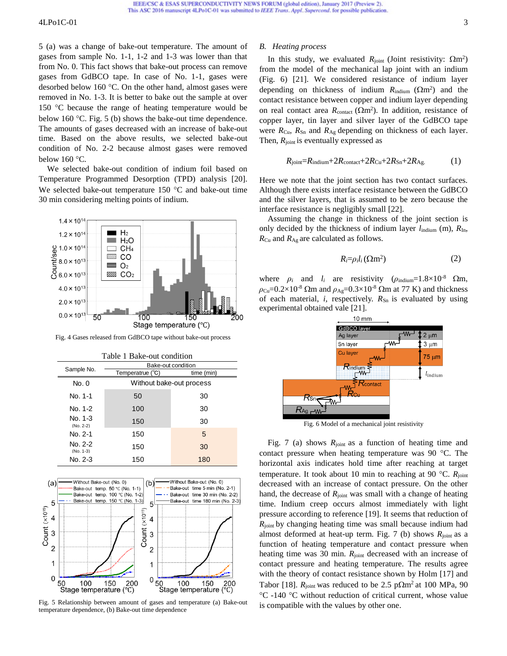## $4LPo1C-01$  3

[5](#page-2-1) (a) was a change of bake-out temperature. The amount of gases from sample No. 1-1, 1-2 and 1-3 was lower than that from No. 0. This fact shows that bake-out process can remove gases from GdBCO tape. In case of No. 1-1, gases were desorbed below 160  $\degree$ C. On the other hand, almost gases were removed in No. 1-3. It is better to bake out the sample at over 150  $\degree$ C because the range of heating temperature would be below 160  $\degree$ C. [Fig. 5](#page-2-1) (b) shows the bake-out time dependence. The amounts of gases decreased with an increase of bake-out time. Based on the above results, we selected bake-out condition of No. 2-2 because almost gases were removed below  $160^{\circ}$ C.

We selected bake-out condition of indium foil based on Temperature Programmed Desorption (TPD) analysis [\[20\]](#page-4-15). We selected bake-out temperature  $150$  °C and bake-out time 30 min considering melting points of indium.



<span id="page-2-0"></span>Fig. 4 Gases released from GdBCO tape without bake-out process

| Table 1 Bake-out condition |                          |            |
|----------------------------|--------------------------|------------|
| Sample No.                 | Bake-out condition       |            |
|                            | Temperatrue (°C)         | time (min) |
| No. 0                      | Without bake-out process |            |
| No. 1-1                    | 50                       | 30         |
| No. 1-2                    | 100                      | 30         |
| $No. 1-3$<br>$(No. 2-2)$   | 150                      | 30         |
| No. 2-1                    | 150                      | 5          |
| No. 2-2<br>$(No. 1-3)$     | 150                      | 30         |
| No. 2-3                    | 150                      | 180        |



<span id="page-2-1"></span>Fig. 5 Relationship between amount of gases and temperature (a) Bake-out temperature dependence, (b) Bake-out time dependence

## *B. Heating process*

In this study, we evaluated  $R_{joint}$  (Joint resistivity:  $\Omega$ m<sup>2</sup>) from the model of the mechanical lap joint with an indium [\(Fig. 6\)](#page-2-2) [\[21\]](#page-4-16). We considered resistance of indium layer depending on thickness of indium  $R_{\text{indium}} (\Omega m^2)$  and the contact resistance between copper and indium layer depending on real contact area  $R_{\text{contact}} (\Omega \text{m}^2)$ . In addition, resistance of copper layer, tin layer and silver layer of the GdBCO tape were *R*Cu, *R*Sn and *R*Ag depending on thickness of each layer. Then,  $R_{joint}$  is eventually expressed as

$$
R_{\text{joint}} = R_{\text{indium}} + 2R_{\text{contact}} + 2R_{\text{Cu}} + 2R_{\text{Sn}} + 2R_{\text{Ag.}} \tag{1}
$$

Here we note that the joint section has two contact surfaces. Although there exists interface resistance between the GdBCO and the silver layers, that is assumed to be zero because the interface resistance is negligibly small [\[22\]](#page-4-17).

Assuming the change in thickness of the joint section is only decided by the thickness of indium layer  $l_{\text{indium}}$  (m),  $R_{\text{In}}$ , *R*Cu and *R*Ag are calculated as follows.

$$
R_i = \rho_i l_i (\Omega m^2) \tag{2}
$$

where  $\rho_i$  and  $l_i$  are resistivity ( $\rho_{\text{indium}} = 1.8 \times 10^{-8}$  Qm,  $\rho_{Cu}$ =0.2×10<sup>-8</sup> Ωm and  $\rho_{Ag}$ =0.3×10<sup>-8</sup> Ωm at 77 K) and thickness of each material, *i*, respectively.  $R_{Sn}$  is evaluated by using experimental obtained vale [\[21\]](#page-4-16).



<span id="page-2-2"></span>Fig. 6 Model of a mechanical joint resistivity

[Fig. 7](#page-3-2) (a) shows  $R_{joint}$  as a function of heating time and contact pressure when heating temperature was  $90^{\circ}$ C. The horizontal axis indicates hold time after reaching at target temperature. It took about 10 min to reaching at 90 °C.  $R_{\text{joint}}$ decreased with an increase of contact pressure. On the other hand, the decrease of  $R_{joint}$  was small with a change of heating time. Indium creep occurs almost immediately with light pressure according to reference [\[19\]](#page-4-14). It seems that reduction of *R*joint by changing heating time was small because indium had almost deformed at heat-up term. [Fig. 7](#page-3-2) (b) shows  $R_{\text{joint}}$  as a function of heating temperature and contact pressure when heating time was 30 min.  $R_{joint}$  decreased with an increase of contact pressure and heating temperature. The results agree with the theory of contact resistance shown by Holm [\[17\]](#page-4-12) and Tabor [\[18\]](#page-4-13).  $R_{\text{joint}}$  was reduced to be 2.5 p $\Omega$ m<sup>2</sup> at 100 MPa, 90 C -140 C without reduction of critical current, whose value Frame entire Compatible Compatible with the values of Respective the mechanical point of a set of Compatible with the cheron of entire  $\frac{6.0}{20}$ <br>  $\frac{6.0}{20}$ <br>  $\frac{1}{20}$ <br>  $\frac{6.0}{20}$ <br>  $\frac{6.0}{20}$ <br>  $\frac{1}{20}$ <br>  $\frac{6.$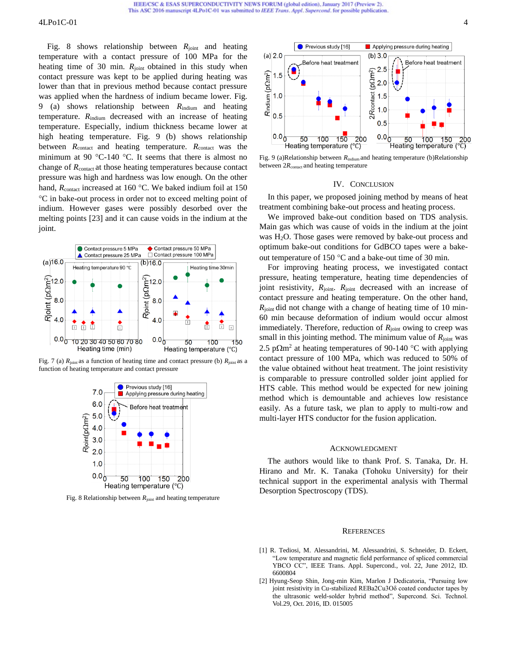## 4LPo1C-01 4

[Fig. 8](#page-3-3) shows relationship between  $R_{\text{joint}}$  and heating temperature with a contact pressure of 100 MPa for the heating time of 30 min. *R*<sub>joint</sub> obtained in this study when contact pressure was kept to be applied during heating was lower than that in previous method because contact pressure was applied when the hardness of indium became lower. [Fig.](#page-3-4)  [9](#page-3-4) (a) shows relationship between *R*indium and heating temperature. *R*indium decreased with an increase of heating temperature. Especially, indium thickness became lower at high heating temperature. [Fig. 9](#page-3-4) (b) shows relationship between *R*<sub>contact</sub> and heating temperature. *R*<sub>contact</sub> was the minimum at 90 °C-140 °C. It seems that there is almost no change of  $R_{\text{contact}}$  at those heating temperatures because contact pressure was high and hardness was low enough. On the other hand,  $R_{\text{contact}}$  increased at 160 °C. We baked indium foil at 150 C in bake-out process in order not to exceed melting point of indium. However gases were possibly desorbed over the melting points [\[23\]](#page-4-18) and it can cause voids in the indium at the joint.



<span id="page-3-2"></span>Fig. 7 (a)  $R_{\text{joint}}$  as a function of heating time and contact pressure (b)  $R_{\text{joint}}$  as a function of heating temperature and contact pressure



<span id="page-3-3"></span>Fig. 8 Relationship between  $R_{\text{joint}}$  and heating temperature



<span id="page-3-4"></span>Fig. 9 (a)Relationship between  $R_{\text{indium}}$  and heating temperature (b)Relationship between 2R<sub>contact</sub> and heating temperature

#### IV. CONCLUSION

In this paper, we proposed joining method by means of heat treatment combining bake-out process and heating process.

We improved bake-out condition based on TDS analysis. Main gas which was cause of voids in the indium at the joint was H<sub>2</sub>O. Those gases were removed by bake-out process and optimum bake-out conditions for GdBCO tapes were a bakeout temperature of 150  $\degree$ C and a bake-out time of 30 min.

For improving heating process, we investigated contact pressure, heating temperature, heating time dependencies of joint resistivity,  $R_{\text{joint}}$ .  $R_{\text{joint}}$  decreased with an increase of contact pressure and heating temperature. On the other hand, *R*joint did not change with a change of heating time of 10 min-60 min because deformation of indium would occur almost immediately. Therefore, reduction of  $R_{joint}$  owing to creep was small in this jointing method. The minimum value of  $R_{\text{joint}}$  was 2.5 p $\Omega$ m<sup>2</sup> at heating temperatures of 90-140 °C with applying contact pressure of 100 MPa, which was reduced to 50% of the value obtained without heat treatment. The joint resistivity is comparable to pressure controlled solder joint applied for HTS cable. This method would be expected for new joining method which is demountable and achieves low resistance easily. As a future task, we plan to apply to multi-row and multi-layer HTS conductor for the fusion application.

## ACKNOWLEDGMENT

The authors would like to thank Prof. S. Tanaka, Dr. H. Hirano and Mr. K. Tanaka (Tohoku University) for their technical support in the experimental analysis with Thermal Desorption Spectroscopy (TDS).

#### **REFERENCES**

- <span id="page-3-0"></span>[1] R. Tediosi, M. Alessandrini, M. Alessandrini, S. Schneider, D. Eckert, "Low temperature and magnetic field performance of spliced commercial YBCO CC", IEEE Trans. Appl. Supercond., vol. 22, June 2012, ID. 6600804
- <span id="page-3-1"></span>[2] Hyung-Seop Shin, Jong-min Kim, Marlon J Dedicatoria, "Pursuing low joint resistivity in Cu-stabilized REBa2Cu3Oδ coated conductor tapes by the ultrasonic weld-solder hybrid method", Supercond. Sci. Technol. Vol.29, Oct. 2016, ID. 015005